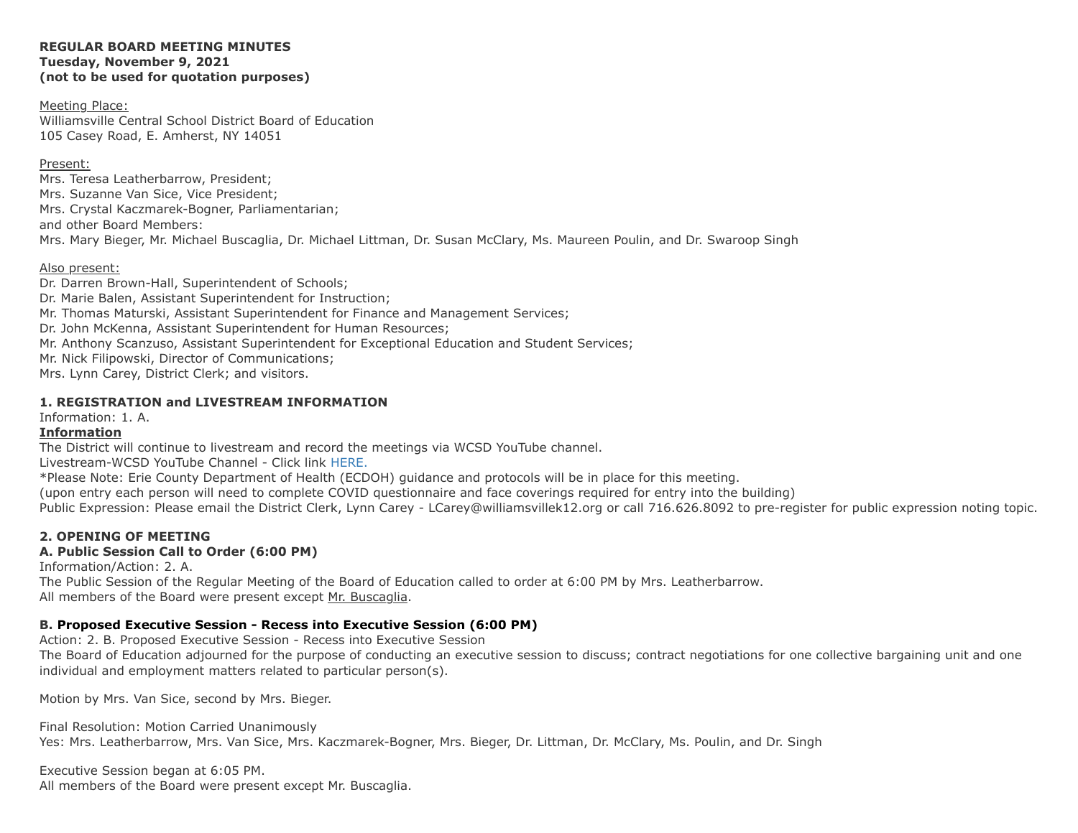#### **REGULAR BOARD MEETING MINUTES Tuesday, November 9, 2021 (not to be used for quotation purposes)**

### Meeting Place:

Williamsville Central School District Board of Education 105 Casey Road, E. Amherst, NY 14051

Mrs. Mary Bieger, Mr. Michael Buscaglia, Dr. Michael Littman, Dr. Susan McClary, Ms. Maureen Poulin, and Dr. Swaroop Singh Present: Mrs. Teresa Leatherbarrow, President; Mrs. Suzanne Van Sice, Vice President; Mrs. Crystal Kaczmarek-Bogner, Parliamentarian; and other Board Members:

### Also present:

Dr. Darren Brown-Hall, Superintendent of Schools; Dr. Marie Balen, Assistant Superintendent for Instruction; Mr. Thomas Maturski, Assistant Superintendent for Finance and Management Services; Dr. John McKenna, Assistant Superintendent for Human Resources; Mr. Anthony Scanzuso, Assistant Superintendent for Exceptional Education and Student Services; Mr. Nick Filipowski, Director of Communications; Mrs. Lynn Carey, District Clerk; and visitors.

### **1. REGISTRATION and LIVESTREAM INFORMATION**

Information: 1. A.

### **Information**

The District will continue to livestream and record the meetings via WCSD YouTube channel.

Livestream-WCSD YouTube Channel - Click link [HERE.](http://go.boarddocs.com/ny/williams/Board.nsf/goto?open&id=C8MQFR60396B)

\*Please Note: Erie County Department of Health (ECDOH) guidance and protocols will be in place for this meeting.

(upon entry each person will need to complete COVID questionnaire and face coverings required for entry into the building)

Public Expression: Please email the District Clerk, Lynn Carey - LCarey@williamsvillek12.org or call 716.626.8092 to pre-register for public expression noting topic.

## **2. OPENING OF MEETING**

## **A. Public Session Call to Order (6:00 PM)**

Information/Action: 2. A.

The Public Session of the Regular Meeting of the Board of Education called to order at 6:00 PM by Mrs. Leatherbarrow. All members of the Board were present except Mr. Buscaglia.

### **B. Proposed Executive Session - Recess into Executive Session (6:00 PM)**

Action: 2. B. Proposed Executive Session - Recess into Executive Session

The Board of Education adjourned for the purpose of conducting an executive session to discuss; contract negotiations for one collective bargaining unit and one individual and employment matters related to particular person(s).

Motion by Mrs. Van Sice, second by Mrs. Bieger.

Final Resolution: Motion Carried Unanimously

Yes: Mrs. Leatherbarrow, Mrs. Van Sice, Mrs. Kaczmarek-Bogner, Mrs. Bieger, Dr. Littman, Dr. McClary, Ms. Poulin, and Dr. Singh

Executive Session began at 6:05 PM. All members of the Board were present except Mr. Buscaglia.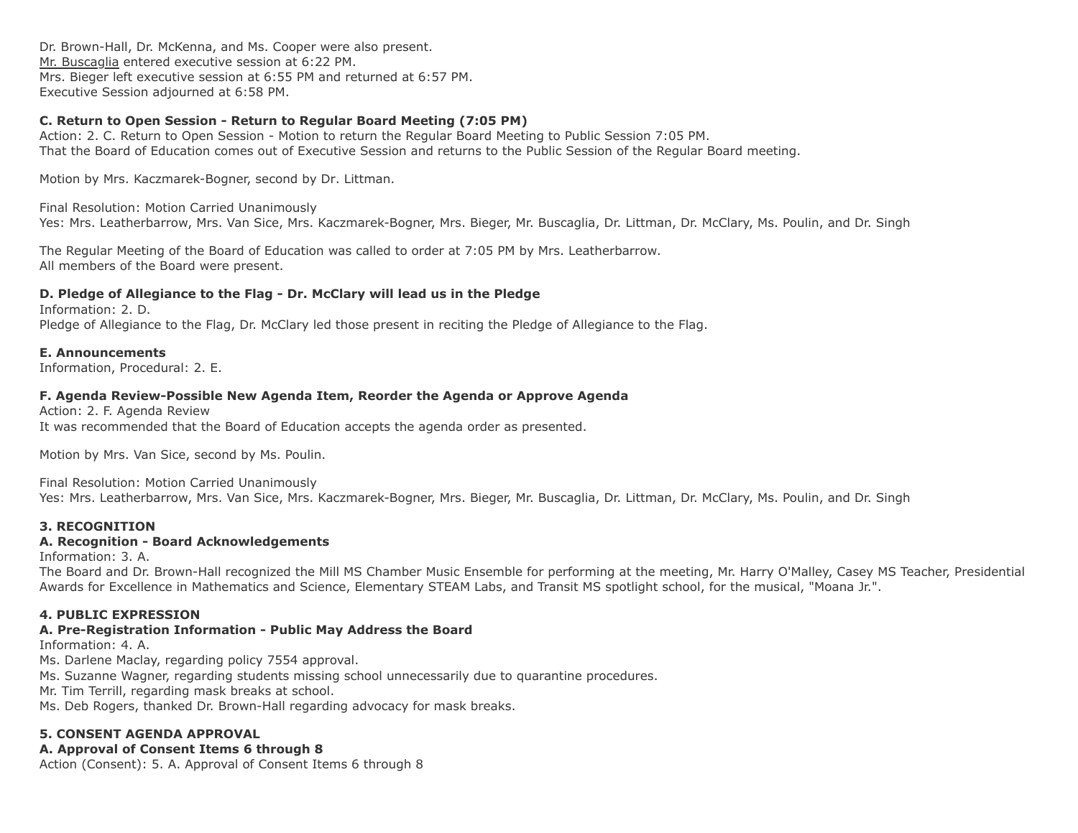Dr. Brown-Hall, Dr. McKenna, and Ms. Cooper were also present. Mr. Buscaglia entered executive session at 6:22 PM. Mrs. Bieger left executive session at 6:55 PM and returned at 6:57 PM. Executive Session adjourned at 6:58 PM.

## **C. Return to Open Session - Return to Regular Board Meeting (7:05 PM)**

Action: 2. C. Return to Open Session - Motion to return the Regular Board Meeting to Public Session 7:05 PM. That the Board of Education comes out of Executive Session and returns to the Public Session of the Regular Board meeting.

Motion by Mrs. Kaczmarek-Bogner, second by Dr. Littman.

Final Resolution: Motion Carried Unanimously Yes: Mrs. Leatherbarrow, Mrs. Van Sice, Mrs. Kaczmarek-Bogner, Mrs. Bieger, Mr. Buscaglia, Dr. Littman, Dr. McClary, Ms. Poulin, and Dr. Singh

The Regular Meeting of the Board of Education was called to order at 7:05 PM by Mrs. Leatherbarrow. All members of the Board were present.

# **D. Pledge of Allegiance to the Flag - Dr. McClary will lead us in the Pledge**

Information: 2. D. Pledge of Allegiance to the Flag, Dr. McClary led those present in reciting the Pledge of Allegiance to the Flag.

### **E. Announcements**

Information, Procedural: 2. E.

## **F. Agenda Review-Possible New Agenda Item, Reorder the Agenda or Approve Agenda**

Action: 2. F. Agenda Review It was recommended that the Board of Education accepts the agenda order as presented.

Motion by Mrs. Van Sice, second by Ms. Poulin.

Final Resolution: Motion Carried Unanimously

Yes: Mrs. Leatherbarrow, Mrs. Van Sice, Mrs. Kaczmarek-Bogner, Mrs. Bieger, Mr. Buscaglia, Dr. Littman, Dr. McClary, Ms. Poulin, and Dr. Singh

## **3. RECOGNITION**

## **A. Recognition - Board Acknowledgements**

Information: 3. A.

The Board and Dr. Brown-Hall recognized the Mill MS Chamber Music Ensemble for performing at the meeting, Mr. Harry O'Malley, Casey MS Teacher, Presidential Awards for Excellence in Mathematics and Science, Elementary STEAM Labs, and Transit MS spotlight school, for the musical, "Moana Jr.".

## **4. PUBLIC EXPRESSION**

## **A. Pre-Registration Information - Public May Address the Board**

Information: 4. A.

Ms. Darlene Maclay, regarding policy 7554 approval.

Ms. Suzanne Wagner, regarding students missing school unnecessarily due to quarantine procedures.

Mr. Tim Terrill, regarding mask breaks at school.

Ms. Deb Rogers, thanked Dr. Brown-Hall regarding advocacy for mask breaks.

# **5. CONSENT AGENDA APPROVAL**

# **A. Approval of Consent Items 6 through 8**

Action (Consent): 5. A. Approval of Consent Items 6 through 8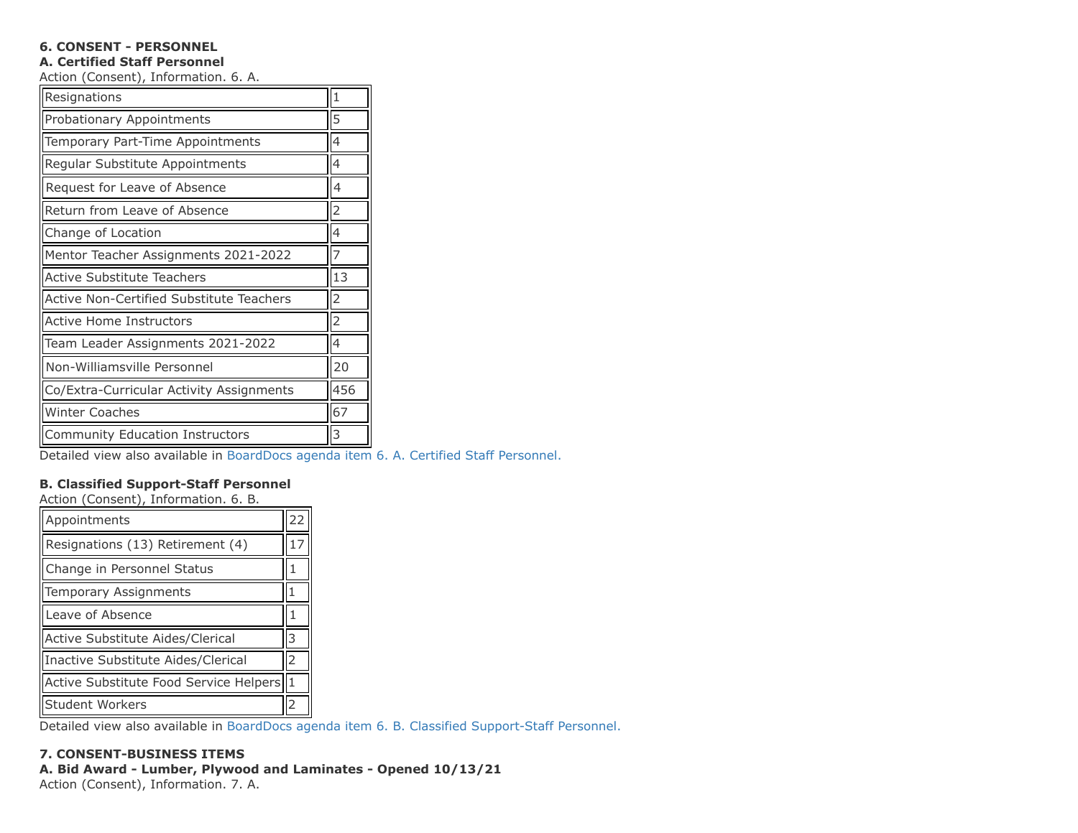# **6. CONSENT - PERSONNEL**

### **A. Certified Staff Personnel**

Action (Consent), Information. 6. A.

| Resignations                             |  |  |  |  |  |
|------------------------------------------|--|--|--|--|--|
| Probationary Appointments                |  |  |  |  |  |
| Temporary Part-Time Appointments         |  |  |  |  |  |
| Regular Substitute Appointments          |  |  |  |  |  |
| Request for Leave of Absence             |  |  |  |  |  |
| Return from Leave of Absence             |  |  |  |  |  |
| Change of Location                       |  |  |  |  |  |
| Mentor Teacher Assignments 2021-2022     |  |  |  |  |  |
| Active Substitute Teachers               |  |  |  |  |  |
| Active Non-Certified Substitute Teachers |  |  |  |  |  |
| Active Home Instructors                  |  |  |  |  |  |
| Team Leader Assignments 2021-2022        |  |  |  |  |  |
| Non-Williamsville Personnel              |  |  |  |  |  |
| Co/Extra-Curricular Activity Assignments |  |  |  |  |  |
| <b>Winter Coaches</b>                    |  |  |  |  |  |
| <b>Community Education Instructors</b>   |  |  |  |  |  |

Detailed view also available in [BoardDocs agenda item 6. A. Certified Staff Personnel.](http://go.boarddocs.com/ny/williams/Board.nsf/goto?open&id=C8FL6354F594)

# **B. Classified Support-Staff Personnel**

Action (Consent), Information. 6. B.

| Appointments                           |  |  |  |  |
|----------------------------------------|--|--|--|--|
| Resignations (13) Retirement (4)       |  |  |  |  |
| Change in Personnel Status             |  |  |  |  |
| Temporary Assignments                  |  |  |  |  |
| Leave of Absence                       |  |  |  |  |
| Active Substitute Aides/Clerical       |  |  |  |  |
| Inactive Substitute Aides/Clerical     |  |  |  |  |
| Active Substitute Food Service Helpers |  |  |  |  |
| <b>Student Workers</b>                 |  |  |  |  |

Detailed view also available in [BoardDocs agenda item 6. B. Classified Support-Staff Personnel.](http://go.boarddocs.com/ny/williams/Board.nsf/goto?open&id=C8FL2Q53066E)

# **7. CONSENT-BUSINESS ITEMS**

# **A. Bid Award - Lumber, Plywood and Laminates - Opened 10/13/21**

Action (Consent), Information. 7. A.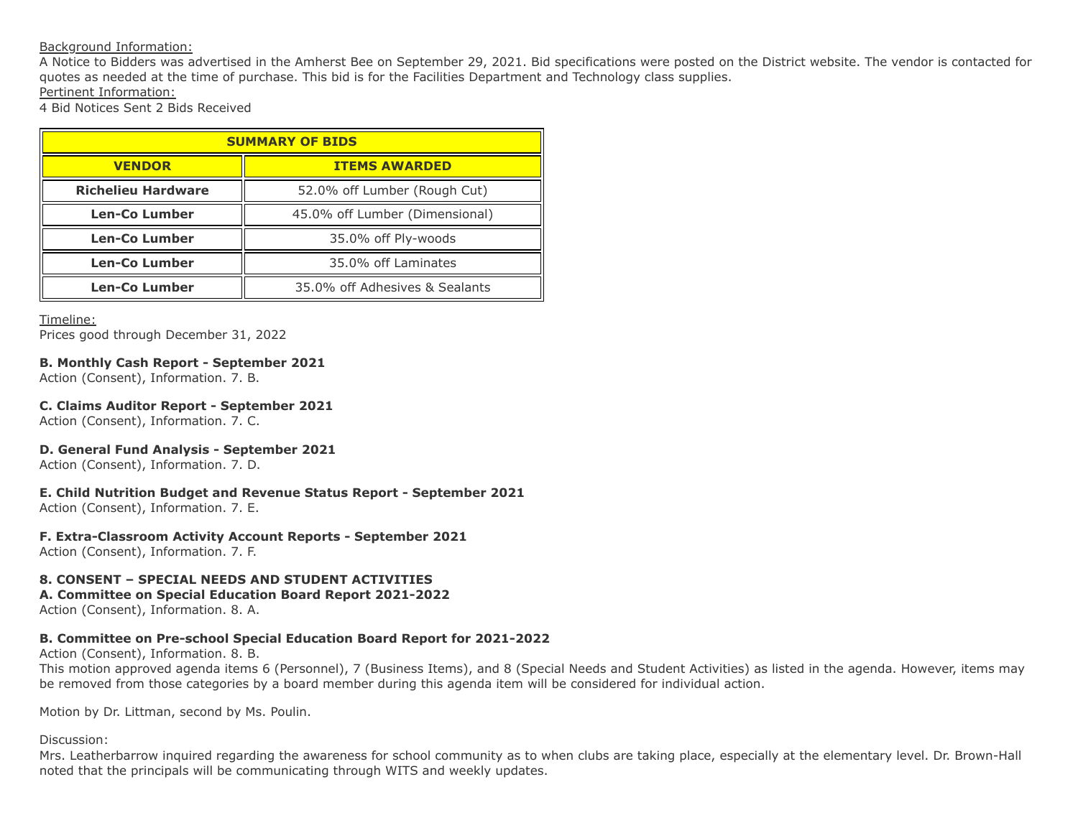### Background Information:

A Notice to Bidders was advertised in the Amherst Bee on September 29, 2021. Bid specifications were posted on the District website. The vendor is contacted for quotes as needed at the time of purchase. This bid is for the Facilities Department and Technology class supplies. Pertinent Information:

4 Bid Notices Sent 2 Bids Received

| <b>SUMMARY OF BIDS</b>    |                                |  |  |  |
|---------------------------|--------------------------------|--|--|--|
| <b>VENDOR</b>             | <b>ITEMS AWARDED</b>           |  |  |  |
| <b>Richelieu Hardware</b> | 52.0% off Lumber (Rough Cut)   |  |  |  |
| <b>Len-Co Lumber</b>      | 45.0% off Lumber (Dimensional) |  |  |  |
| <b>Len-Co Lumber</b>      | 35.0% off Ply-woods            |  |  |  |
| <b>Len-Co Lumber</b>      | 35.0% off Laminates            |  |  |  |
| Len-Co Lumber             | 35.0% off Adhesives & Sealants |  |  |  |

Timeline:

Prices good through December 31, 2022

### **B. Monthly Cash Report - September 2021**

Action (Consent), Information. 7. B.

### **C. Claims Auditor Report - September 2021**

Action (Consent), Information. 7. C.

## **D. General Fund Analysis - September 2021**

Action (Consent), Information. 7. D.

# **E. Child Nutrition Budget and Revenue Status Report - September 2021**

Action (Consent), Information. 7. E.

## **F. Extra-Classroom Activity Account Reports - September 2021**

Action (Consent), Information. 7. F.

# **8. CONSENT – SPECIAL NEEDS AND STUDENT ACTIVITIES**

### **A. Committee on Special Education Board Report 2021-2022**

Action (Consent), Information. 8. A.

# **B. Committee on Pre-school Special Education Board Report for 2021-2022**

Action (Consent), Information. 8. B.

This motion approved agenda items 6 (Personnel), 7 (Business Items), and 8 (Special Needs and Student Activities) as listed in the agenda. However, items may be removed from those categories by a board member during this agenda item will be considered for individual action.

Motion by Dr. Littman, second by Ms. Poulin.

# Discussion:

Mrs. Leatherbarrow inquired regarding the awareness for school community as to when clubs are taking place, especially at the elementary level. Dr. Brown-Hall noted that the principals will be communicating through WITS and weekly updates.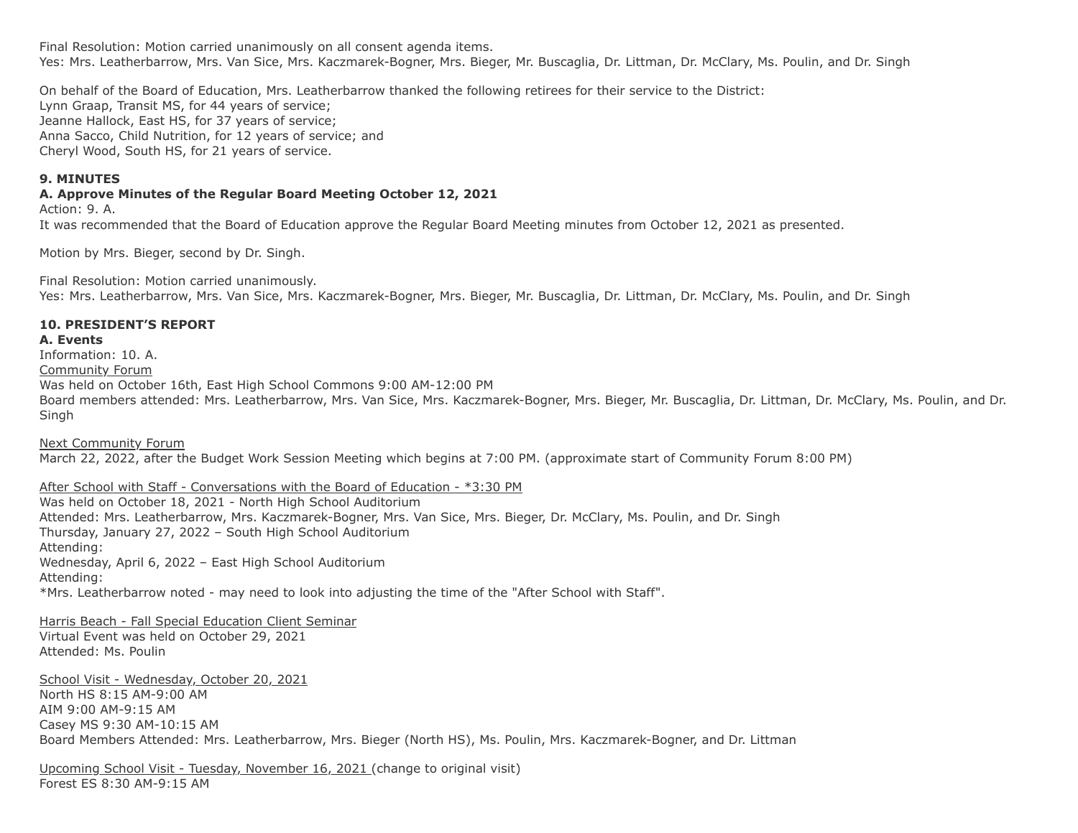Final Resolution: Motion carried unanimously on all consent agenda items. Yes: Mrs. Leatherbarrow, Mrs. Van Sice, Mrs. Kaczmarek-Bogner, Mrs. Bieger, Mr. Buscaglia, Dr. Littman, Dr. McClary, Ms. Poulin, and Dr. Singh

On behalf of the Board of Education, Mrs. Leatherbarrow thanked the following retirees for their service to the District: Lynn Graap, Transit MS, for 44 years of service; Jeanne Hallock, East HS, for 37 years of service; Anna Sacco, Child Nutrition, for 12 years of service; and Cheryl Wood, South HS, for 21 years of service.

### **9. MINUTES**

### **A. Approve Minutes of the Regular Board Meeting October 12, 2021**

Action: 9. A.

It was recommended that the Board of Education approve the Regular Board Meeting minutes from October 12, 2021 as presented.

Motion by Mrs. Bieger, second by Dr. Singh.

Final Resolution: Motion carried unanimously. Yes: Mrs. Leatherbarrow, Mrs. Van Sice, Mrs. Kaczmarek-Bogner, Mrs. Bieger, Mr. Buscaglia, Dr. Littman, Dr. McClary, Ms. Poulin, and Dr. Singh

### **10. PRESIDENT'S REPORT**

### **A. Events**

Information: 10. A.

Community Forum

Was held on October 16th, East High School Commons 9:00 AM-12:00 PM

Board members attended: Mrs. Leatherbarrow, Mrs. Van Sice, Mrs. Kaczmarek-Bogner, Mrs. Bieger, Mr. Buscaglia, Dr. Littman, Dr. McClary, Ms. Poulin, and Dr. Singh

Next Community Forum March 22, 2022, after the Budget Work Session Meeting which begins at 7:00 PM. (approximate start of Community Forum 8:00 PM)

After School with Staff - Conversations with the Board of Education - \*3:30 PM

Was held on October 18, 2021 - North High School Auditorium Attended: Mrs. Leatherbarrow, Mrs. Kaczmarek-Bogner, Mrs. Van Sice, Mrs. Bieger, Dr. McClary, Ms. Poulin, and Dr. Singh Thursday, January 27, 2022 – South High School Auditorium Attending: Wednesday, April 6, 2022 – East High School Auditorium Attending: \*Mrs. Leatherbarrow noted - may need to look into adjusting the time of the "After School with Staff".

Harris Beach - Fall Special Education Client Seminar Virtual Event was held on October 29, 2021 Attended: Ms. Poulin

School Visit - Wednesday, October 20, 2021 North HS 8:15 AM-9:00 AM AIM 9:00 AM-9:15 AM Casey MS 9:30 AM-10:15 AM Board Members Attended: Mrs. Leatherbarrow, Mrs. Bieger (North HS), Ms. Poulin, Mrs. Kaczmarek-Bogner, and Dr. Littman

Upcoming School Visit - Tuesday, November 16, 2021 (change to original visit) Forest ES 8:30 AM-9:15 AM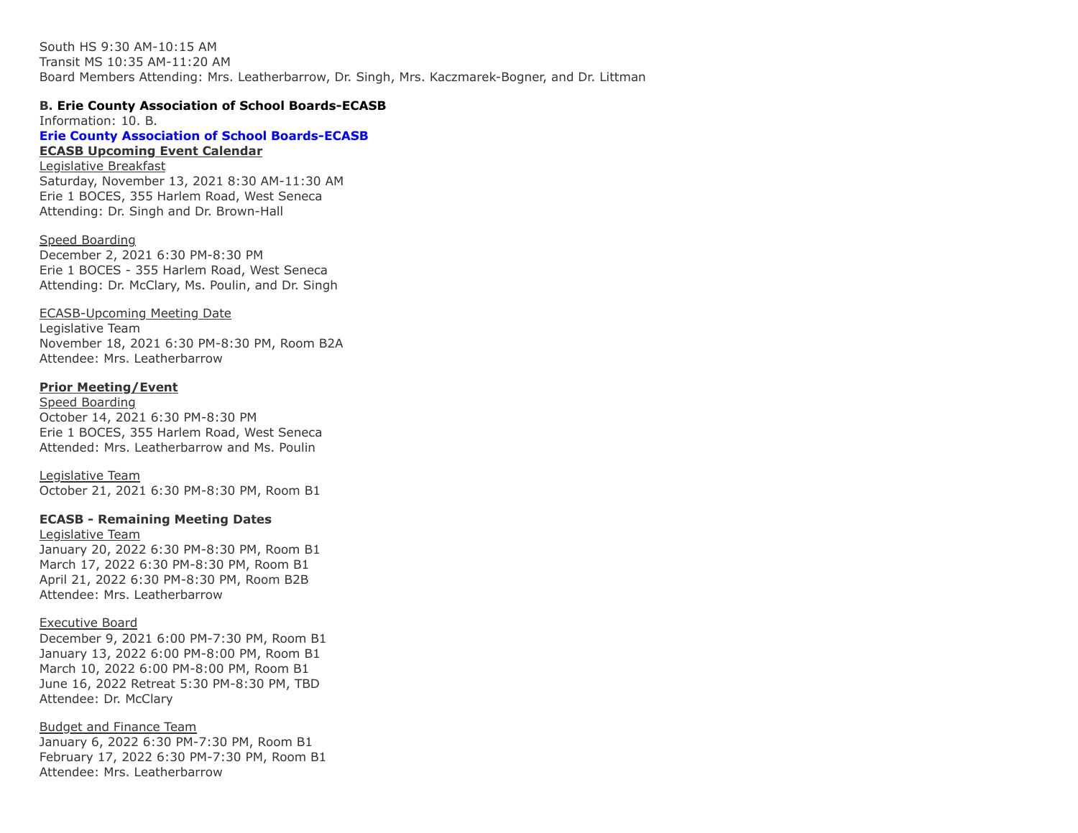South HS 9:30 AM-10:15 AM Transit MS 10:35 AM-11:20 AM Board Members Attending: Mrs. Leatherbarrow, Dr. Singh, Mrs. Kaczmarek-Bogner, and Dr. Littman

#### **B. Erie County Association of School Boards-ECASB**

**[Erie County Association of School Boards-ECASB](https://www.ecasb.org/) ECASB Upcoming Event Calendar** Legislative Breakfast Saturday, November 13, 2021 8:30 AM-11:30 AM Erie 1 BOCES, 355 Harlem Road, West Seneca Information: 10. B.

Attending: Dr. Singh and Dr. Brown-Hall

Speed Boarding December 2, 2021 6:30 PM-8:30 PM Erie 1 BOCES - 355 Harlem Road, West Seneca Attending: Dr. McClary, Ms. Poulin, and Dr. Singh

### ECASB-Upcoming Meeting Date

Legislative Team November 18, 2021 6:30 PM-8:30 PM, Room B2A Attendee: Mrs. Leatherbarrow

### **Prior Meeting/Event**

Speed Boarding October 14, 2021 6:30 PM-8:30 PM Erie 1 BOCES, 355 Harlem Road, West Seneca Attended: Mrs. Leatherbarrow and Ms. Poulin

Legislative Team October 21, 2021 6:30 PM-8:30 PM, Room B1

### **ECASB - Remaining Meeting Dates**

Legislative Team January 20, 2022 6:30 PM-8:30 PM, Room B1 March 17, 2022 6:30 PM-8:30 PM, Room B1 April 21, 2022 6:30 PM-8:30 PM, Room B2B Attendee: Mrs. Leatherbarrow

#### Executive Board

December 9, 2021 6:00 PM-7:30 PM, Room B1 January 13, 2022 6:00 PM-8:00 PM, Room B1 March 10, 2022 6:00 PM-8:00 PM, Room B1 June 16, 2022 Retreat 5:30 PM-8:30 PM, TBD Attendee: Dr. McClary

Budget and Finance Team January 6, 2022 6:30 PM-7:30 PM, Room B1 February 17, 2022 6:30 PM-7:30 PM, Room B1 Attendee: Mrs. Leatherbarrow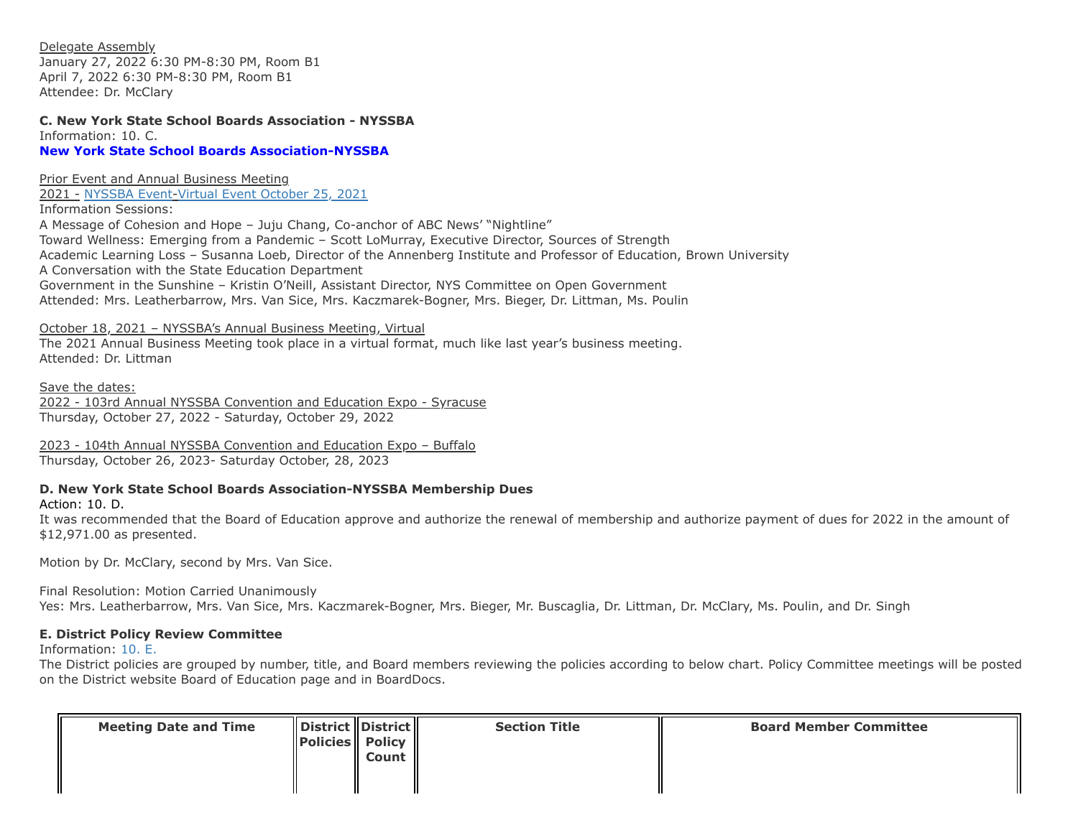Delegate Assembly January 27, 2022 6:30 PM-8:30 PM, Room B1 April 7, 2022 6:30 PM-8:30 PM, Room B1 Attendee: Dr. McClary

**[New York State School Boards Association-NYSSBA](https://www.nyssba.org/) C. New York State School Boards Association - NYSSBA** Information: 10. C.

Prior Event and Annual Business Meeting

2021 - [NYSSBA Event-](http://convention.nyssba.org/)[Virtual Event October 25, 2021](https://fontevapartnertrials-1545c8baeef.force.com/s/lt-event?id=a1R1Q00000EVMg4UAH)

Information Sessions: A Message of Cohesion and Hope – Juju Chang, Co-anchor of ABC News' "Nightline" Toward Wellness: Emerging from a Pandemic – Scott LoMurray, Executive Director, Sources of Strength Academic Learning Loss – Susanna Loeb, Director of the Annenberg Institute and Professor of Education, Brown University A Conversation with the State Education Department Government in the Sunshine – Kristin O'Neill, Assistant Director, NYS Committee on Open Government Attended: Mrs. Leatherbarrow, Mrs. Van Sice, Mrs. Kaczmarek-Bogner, Mrs. Bieger, Dr. Littman, Ms. Poulin

October 18, 2021 – NYSSBA's Annual Business Meeting, Virtual

The 2021 Annual Business Meeting took place in a virtual format, much like last year's business meeting. Attended: Dr. Littman

Save the dates: 2022 - 103rd Annual NYSSBA Convention and Education Expo - Syracuse Thursday, October 27, 2022 - Saturday, October 29, 2022

2023 - 104th Annual NYSSBA Convention and Education Expo – Buffalo Thursday, October 26, 2023- Saturday October, 28, 2023

## **D. New York State School Boards Association-NYSSBA Membership Dues**

Action: 10. D.

It was recommended that the Board of Education approve and authorize the renewal of membership and authorize payment of dues for 2022 in the amount of \$12,971.00 as presented.

Motion by Dr. McClary, second by Mrs. Van Sice.

Final Resolution: Motion Carried Unanimously

Yes: Mrs. Leatherbarrow, Mrs. Van Sice, Mrs. Kaczmarek-Bogner, Mrs. Bieger, Mr. Buscaglia, Dr. Littman, Dr. McClary, Ms. Poulin, and Dr. Singh

## **E. District Policy Review Committee**

Information: [10. E.](http://go.boarddocs.com/ny/williams/Board.nsf/goto?open&id=C7WKQR523F03)

The District policies are grouped by number, title, and Board members reviewing the policies according to below chart. Policy Committee meetings will be posted on the District website Board of Education page and in BoardDocs.

| <b>Meeting Date and Time</b> | $\parallel$ District $\parallel$ District $\parallel$<br>$\ $ Policies $\ $ Policy $\ $ | Count | <b>Section Title</b> | <b>Board Member Committee</b> |
|------------------------------|-----------------------------------------------------------------------------------------|-------|----------------------|-------------------------------|
|                              |                                                                                         |       |                      |                               |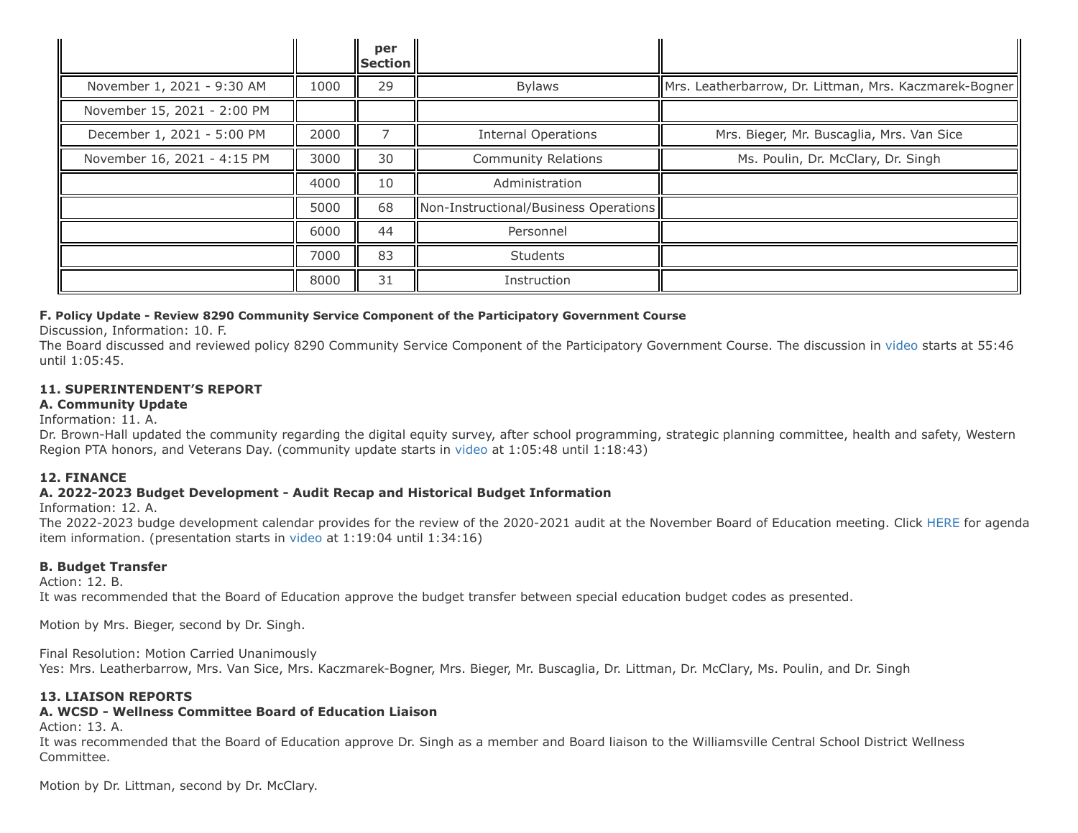|                             |      | per<br><b>Section</b> |                                       |                                                        |
|-----------------------------|------|-----------------------|---------------------------------------|--------------------------------------------------------|
| November 1, 2021 - 9:30 AM  | 1000 | 29                    | <b>Bylaws</b>                         | Mrs. Leatherbarrow, Dr. Littman, Mrs. Kaczmarek-Bogner |
| November 15, 2021 - 2:00 PM |      |                       |                                       |                                                        |
| December 1, 2021 - 5:00 PM  | 2000 |                       | <b>Internal Operations</b>            | Mrs. Bieger, Mr. Buscaglia, Mrs. Van Sice              |
| November 16, 2021 - 4:15 PM | 3000 | 30                    | <b>Community Relations</b>            | Ms. Poulin, Dr. McClary, Dr. Singh                     |
|                             | 4000 | 10                    | Administration                        |                                                        |
|                             | 5000 | 68                    | Non-Instructional/Business Operations |                                                        |
|                             | 6000 | 44                    | Personnel                             |                                                        |
|                             | 7000 | 83                    | <b>Students</b>                       |                                                        |
|                             | 8000 | 31                    | Instruction                           |                                                        |

### **F. Policy Update - Review 8290 Community Service Component of the Participatory Government Course**

Discussion, Information: 10. F.

The Board discussed and reviewed policy 8290 Community Service Component of the Participatory Government Course. The discussion in [video](http://go.boarddocs.com/ny/williams/Board.nsf/goto?open&id=C8MQFR60396B) starts at 55:46 until 1:05:45.

## **11. SUPERINTENDENT'S REPORT**

### **A. Community Update**

Information: 11. A.

Dr. Brown-Hall updated the community regarding the digital equity survey, after school programming, strategic planning committee, health and safety, Western Region PTA honors, and Veterans Day. (community update starts in [video](http://go.boarddocs.com/ny/williams/Board.nsf/goto?open&id=C8MQFR60396B) at 1:05:48 until 1:18:43)

## **12. FINANCE**

## **A. 2022-2023 Budget Development - Audit Recap and Historical Budget Information**

Information: 12. A.

The 2022-2023 budge development calendar provides for the review of the 2020-2021 audit at the November Board of Education meeting. Click [HERE](http://go.boarddocs.com/ny/williams/Board.nsf/goto?open&id=C7XQTJ68C3FF) for agenda item information. (presentation starts in [video](http://go.boarddocs.com/ny/williams/Board.nsf/goto?open&id=C8MQFR60396B) at 1:19:04 until 1:34:16)

## **B. Budget Transfer**

Action: 12. B.

It was recommended that the Board of Education approve the budget transfer between special education budget codes as presented.

Motion by Mrs. Bieger, second by Dr. Singh.

Final Resolution: Motion Carried Unanimously Yes: Mrs. Leatherbarrow, Mrs. Van Sice, Mrs. Kaczmarek-Bogner, Mrs. Bieger, Mr. Buscaglia, Dr. Littman, Dr. McClary, Ms. Poulin, and Dr. Singh

## **13. LIAISON REPORTS**

# **A. WCSD - Wellness Committee Board of Education Liaison**

Action: 13. A.

It was recommended that the Board of Education approve Dr. Singh as a member and Board liaison to the Williamsville Central School District Wellness Committee.

Motion by Dr. Littman, second by Dr. McClary.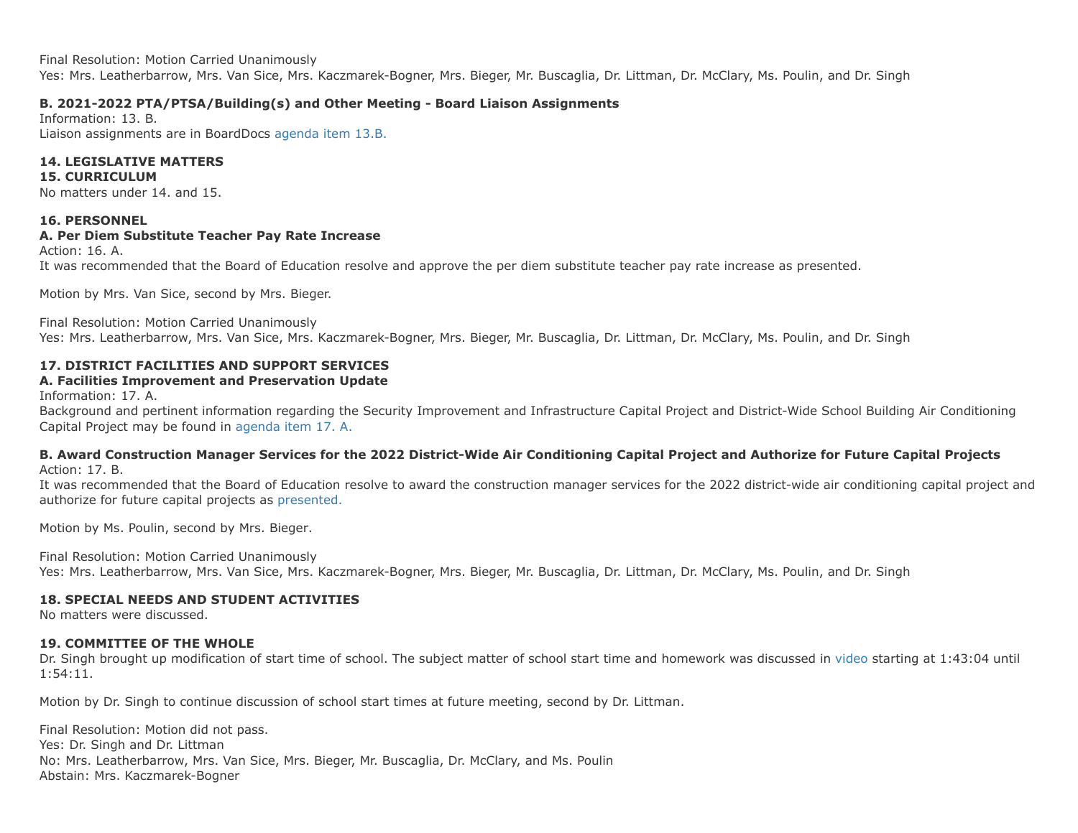Final Resolution: Motion Carried Unanimously Yes: Mrs. Leatherbarrow, Mrs. Van Sice, Mrs. Kaczmarek-Bogner, Mrs. Bieger, Mr. Buscaglia, Dr. Littman, Dr. McClary, Ms. Poulin, and Dr. Singh

## **B. 2021-2022 PTA/PTSA/Building(s) and Other Meeting - Board Liaison Assignments**

Information: 13. B. Liaison assignments are in BoardDocs [agenda item 13.B.](http://go.boarddocs.com/ny/williams/Board.nsf/goto?open&id=C7WM9C59A680)

# **14. LEGISLATIVE MATTERS**

### **15. CURRICULUM**

No matters under 14. and 15.

### **16. PERSONNEL**

### **A. Per Diem Substitute Teacher Pay Rate Increase**

Action: 16. A.

It was recommended that the Board of Education resolve and approve the per diem substitute teacher pay rate increase as presented.

Motion by Mrs. Van Sice, second by Mrs. Bieger.

Final Resolution: Motion Carried Unanimously Yes: Mrs. Leatherbarrow, Mrs. Van Sice, Mrs. Kaczmarek-Bogner, Mrs. Bieger, Mr. Buscaglia, Dr. Littman, Dr. McClary, Ms. Poulin, and Dr. Singh

# **17. DISTRICT FACILITIES AND SUPPORT SERVICES**

# **A. Facilities Improvement and Preservation Update**

Information: 17. A.

Background and pertinent information regarding the Security Improvement and Infrastructure Capital Project and District-Wide School Building Air Conditioning Capital Project may be found in [agenda item 17. A.](http://go.boarddocs.com/ny/williams/Board.nsf/goto?open&id=C85PT7652813)

#### **B. Award Construction Manager Services for the 2022 District-Wide Air Conditioning Capital Project and Authorize for Future Capital Projects** Action: 17. B.

It was recommended that the Board of Education resolve to award the construction manager services for the 2022 district-wide air conditioning capital project and authorize for future capital projects as [presented.](http://go.boarddocs.com/ny/williams/Board.nsf/goto?open&id=C7XGJ843FFA1)

Motion by Ms. Poulin, second by Mrs. Bieger.

Final Resolution: Motion Carried Unanimously Yes: Mrs. Leatherbarrow, Mrs. Van Sice, Mrs. Kaczmarek-Bogner, Mrs. Bieger, Mr. Buscaglia, Dr. Littman, Dr. McClary, Ms. Poulin, and Dr. Singh

## **18. SPECIAL NEEDS AND STUDENT ACTIVITIES**

No matters were discussed.

## **19. COMMITTEE OF THE WHOLE**

Dr. Singh brought up modification of start time of school. The subject matter of school start time and homework was discussed in [video](http://go.boarddocs.com/ny/williams/Board.nsf/goto?open&id=C8MQFR60396B) starting at 1:43:04 until 1:54:11.

Motion by Dr. Singh to continue discussion of school start times at future meeting, second by Dr. Littman.

Final Resolution: Motion did not pass. Yes: Dr. Singh and Dr. Littman No: Mrs. Leatherbarrow, Mrs. Van Sice, Mrs. Bieger, Mr. Buscaglia, Dr. McClary, and Ms. Poulin Abstain: Mrs. Kaczmarek-Bogner